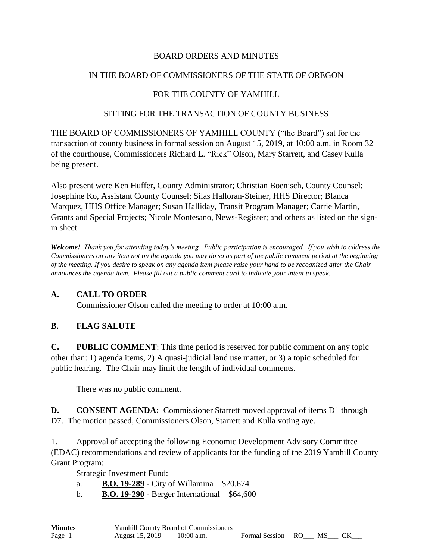## BOARD ORDERS AND MINUTES

## IN THE BOARD OF COMMISSIONERS OF THE STATE OF OREGON

# FOR THE COUNTY OF YAMHILL

#### SITTING FOR THE TRANSACTION OF COUNTY BUSINESS

THE BOARD OF COMMISSIONERS OF YAMHILL COUNTY ("the Board") sat for the transaction of county business in formal session on August 15, 2019, at 10:00 a.m. in Room 32 of the courthouse, Commissioners Richard L. "Rick" Olson, Mary Starrett, and Casey Kulla being present.

Also present were Ken Huffer, County Administrator; Christian Boenisch, County Counsel; Josephine Ko, Assistant County Counsel; Silas Halloran-Steiner, HHS Director; Blanca Marquez, HHS Office Manager; Susan Halliday, Transit Program Manager; Carrie Martin, Grants and Special Projects; Nicole Montesano, News-Register; and others as listed on the signin sheet.

*Welcome! Thank you for attending today's meeting. Public participation is encouraged. If you wish to address the Commissioners on any item not on the agenda you may do so as part of the public comment period at the beginning of the meeting. If you desire to speak on any agenda item please raise your hand to be recognized after the Chair announces the agenda item. Please fill out a public comment card to indicate your intent to speak.*

#### **A. CALL TO ORDER**

Commissioner Olson called the meeting to order at 10:00 a.m.

# **B. FLAG SALUTE**

**C. PUBLIC COMMENT**: This time period is reserved for public comment on any topic other than: 1) agenda items, 2) A quasi-judicial land use matter, or 3) a topic scheduled for public hearing. The Chair may limit the length of individual comments.

There was no public comment.

**D. CONSENT AGENDA:** Commissioner Starrett moved approval of items D1 through D7. The motion passed, Commissioners Olson, Starrett and Kulla voting aye.

1. Approval of accepting the following Economic Development Advisory Committee (EDAC) recommendations and review of applicants for the funding of the 2019 Yamhill County Grant Program:

Strategic Investment Fund:

- a. **B.O. 19-289** City of Willamina \$20,674
- b. **B.O. 19-290** Berger International \$64,600

| <b>Minutes</b> | <b>Yamhill County Board of Commissioners</b> |              |                   |      |  |
|----------------|----------------------------------------------|--------------|-------------------|------|--|
| Page 1         | August 15, 2019                              | $10:00$ a.m. | Formal Session RO | - MS |  |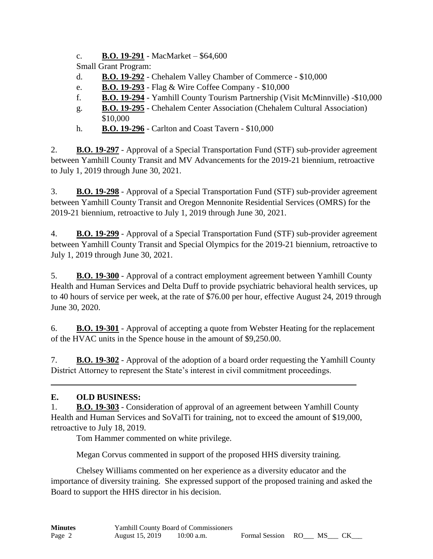c. **B.O. 19-291** - MacMarket – \$64,600

Small Grant Program:

- d. **B.O. 19-292** Chehalem Valley Chamber of Commerce \$10,000
- e. **B.O. 19-293** Flag & Wire Coffee Company \$10,000
- f. **B.O. 19-294** Yamhill County Tourism Partnership (Visit McMinnville) -\$10,000
- g. **B.O. 19-295** Chehalem Center Association (Chehalem Cultural Association) \$10,000
- h. **B.O. 19-296** Carlton and Coast Tavern \$10,000

2. **B.O. 19-297** - Approval of a Special Transportation Fund (STF) sub-provider agreement between Yamhill County Transit and MV Advancements for the 2019-21 biennium, retroactive to July 1, 2019 through June 30, 2021.

3. **B.O. 19-298** - Approval of a Special Transportation Fund (STF) sub-provider agreement between Yamhill County Transit and Oregon Mennonite Residential Services (OMRS) for the 2019-21 biennium, retroactive to July 1, 2019 through June 30, 2021.

4. **B.O. 19-299** - Approval of a Special Transportation Fund (STF) sub-provider agreement between Yamhill County Transit and Special Olympics for the 2019-21 biennium, retroactive to July 1, 2019 through June 30, 2021.

5. **B.O. 19-300** - Approval of a contract employment agreement between Yamhill County Health and Human Services and Delta Duff to provide psychiatric behavioral health services, up to 40 hours of service per week, at the rate of \$76.00 per hour, effective August 24, 2019 through June 30, 2020.

6. **B.O. 19-301** - Approval of accepting a quote from Webster Heating for the replacement of the HVAC units in the Spence house in the amount of \$9,250.00.

7. **B.O. 19-302** - Approval of the adoption of a board order requesting the Yamhill County District Attorney to represent the State's interest in civil commitment proceedings.

# **E. OLD BUSINESS:**

1. **B.O. 19-303** - Consideration of approval of an agreement between Yamhill County Health and Human Services and SoValTi for training, not to exceed the amount of \$19,000, retroactive to July 18, 2019.

Tom Hammer commented on white privilege.

Megan Corvus commented in support of the proposed HHS diversity training.

Chelsey Williams commented on her experience as a diversity educator and the importance of diversity training. She expressed support of the proposed training and asked the Board to support the HHS director in his decision.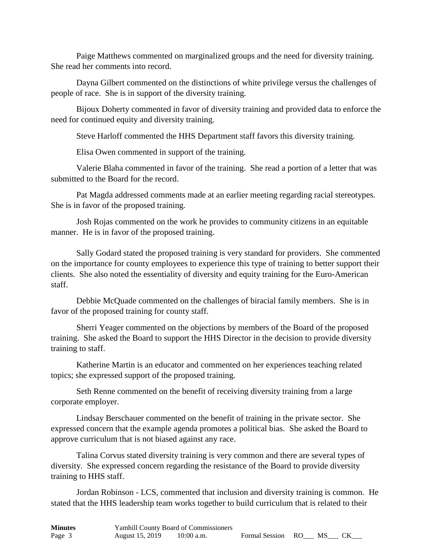Paige Matthews commented on marginalized groups and the need for diversity training. She read her comments into record.

Dayna Gilbert commented on the distinctions of white privilege versus the challenges of people of race. She is in support of the diversity training.

Bijoux Doherty commented in favor of diversity training and provided data to enforce the need for continued equity and diversity training.

Steve Harloff commented the HHS Department staff favors this diversity training.

Elisa Owen commented in support of the training.

Valerie Blaha commented in favor of the training. She read a portion of a letter that was submitted to the Board for the record.

Pat Magda addressed comments made at an earlier meeting regarding racial stereotypes. She is in favor of the proposed training.

Josh Rojas commented on the work he provides to community citizens in an equitable manner. He is in favor of the proposed training.

Sally Godard stated the proposed training is very standard for providers. She commented on the importance for county employees to experience this type of training to better support their clients. She also noted the essentiality of diversity and equity training for the Euro-American staff.

Debbie McQuade commented on the challenges of biracial family members. She is in favor of the proposed training for county staff.

Sherri Yeager commented on the objections by members of the Board of the proposed training. She asked the Board to support the HHS Director in the decision to provide diversity training to staff.

Katherine Martin is an educator and commented on her experiences teaching related topics; she expressed support of the proposed training.

Seth Renne commented on the benefit of receiving diversity training from a large corporate employer.

Lindsay Berschauer commented on the benefit of training in the private sector. She expressed concern that the example agenda promotes a political bias. She asked the Board to approve curriculum that is not biased against any race.

Talina Corvus stated diversity training is very common and there are several types of diversity. She expressed concern regarding the resistance of the Board to provide diversity training to HHS staff.

Jordan Robinson - LCS, commented that inclusion and diversity training is common. He stated that the HHS leadership team works together to build curriculum that is related to their

| <b>Minutes</b> | Yamhill County Board of Commissioners |            |                   |  |  |
|----------------|---------------------------------------|------------|-------------------|--|--|
| Page 3         | August 15, 2019                       | 10:00 a.m. | Formal Session RO |  |  |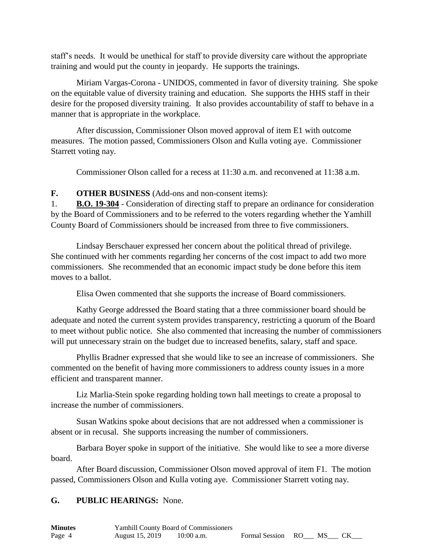staff's needs. It would be unethical for staff to provide diversity care without the appropriate training and would put the county in jeopardy. He supports the trainings.

Miriam Vargas-Corona - UNIDOS, commented in favor of diversity training. She spoke on the equitable value of diversity training and education. She supports the HHS staff in their desire for the proposed diversity training. It also provides accountability of staff to behave in a manner that is appropriate in the workplace.

After discussion, Commissioner Olson moved approval of item E1 with outcome measures. The motion passed, Commissioners Olson and Kulla voting aye. Commissioner Starrett voting nay.

Commissioner Olson called for a recess at 11:30 a.m. and reconvened at 11:38 a.m.

**F. OTHER BUSINESS** (Add-ons and non-consent items):

1. **B.O. 19-304** - Consideration of directing staff to prepare an ordinance for consideration by the Board of Commissioners and to be referred to the voters regarding whether the Yamhill County Board of Commissioners should be increased from three to five commissioners.

Lindsay Berschauer expressed her concern about the political thread of privilege. She continued with her comments regarding her concerns of the cost impact to add two more commissioners. She recommended that an economic impact study be done before this item moves to a ballot.

Elisa Owen commented that she supports the increase of Board commissioners.

Kathy George addressed the Board stating that a three commissioner board should be adequate and noted the current system provides transparency, restricting a quorum of the Board to meet without public notice. She also commented that increasing the number of commissioners will put unnecessary strain on the budget due to increased benefits, salary, staff and space.

Phyllis Bradner expressed that she would like to see an increase of commissioners. She commented on the benefit of having more commissioners to address county issues in a more efficient and transparent manner.

Liz Marlia-Stein spoke regarding holding town hall meetings to create a proposal to increase the number of commissioners.

Susan Watkins spoke about decisions that are not addressed when a commissioner is absent or in recusal. She supports increasing the number of commissioners.

Barbara Boyer spoke in support of the initiative. She would like to see a more diverse board.

After Board discussion, Commissioner Olson moved approval of item F1. The motion passed, Commissioners Olson and Kulla voting aye. Commissioner Starrett voting nay.

# **G. PUBLIC HEARINGS:** None.